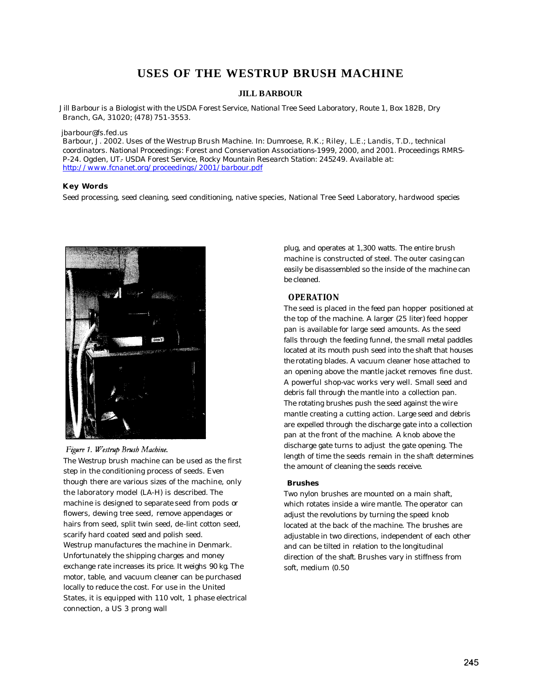# **USES OF THE WESTRUP BRUSH MACHINE**

### **JILL BARBOUR**

*Jill Barbour is a Biologist with the USDA Forest Service, National Tree Seed Laboratory, Route 1, Box 182B, Dry Branch, GA, 31020; (478) 751-3553.*

#### *jbarbour@fs.fed.us*

*Barbour, J. 2002. Uses of the Westrup Brush Machine. In: Dumroese, R.K.; Riley, L.E.; Landis, T.D., technical coordinators. National Proceedings: Forest and Conservation Associations-1999, 2000, and 2001. Proceedings RMRS-P-24. Ogden, UT.- USDA Forest Service, Rocky Mountain Research Station: 245249. Available at: http://www.fcnanet.org/proceedings/2001/barbour.pdf*

#### **Key Words**

Seed processing, seed cleaning, seed conditioning, native species, National Tree Seed Laboratory, hardwood species



### Figure 1. Westrup Brush Machine.

The Westrup brush machine can be used as the first step in the conditioning process of seeds. Even though there are various sizes of the machine, only the laboratory model (LA-H) is described. The machine is designed to separate seed from pods or flowers, dewing tree seed, remove appendages or hairs from seed, split twin seed, de-lint cotton seed, scarify hard coated seed and polish seed. Westrup manufactures the machine in Denmark. Unfortunately the shipping charges and money exchange rate increases its price. It weighs 90 kg. The motor, table, and vacuum cleaner can be purchased locally to reduce the cost. For use in the United States, it is equipped with 110 volt, 1 phase electrical connection, a US 3 prong wall

plug, and operates at 1,300 watts. The entire brush machine is constructed of steel. The outer casing can easily be disassembled so the inside of the machine can be cleaned.

### **OPERATION**

The seed is placed in the feed pan hopper positioned at the top of the machine. A larger (25 liter) feed hopper pan is available for large seed amounts. As the seed falls through the feeding funnel, the small metal paddles located at its mouth push seed into the shaft that houses the rotating blades. A vacuum cleaner hose attached to an opening above the mantle jacket removes fine dust. A powerful shop-vac works very well. Small seed and debris fall through the mantle into a collection pan. The rotating brushes push the seed against the wire mantle creating a cutting action. Large seed and debris are expelled through the discharge gate into a collection pan at the front of the machine. A knob above the discharge gate turns to adjust the gate opening. The length of time the seeds remain in the shaft determines the amount of cleaning the seeds receive.

### **Brushes**

Two nylon brushes are mounted on a main shaft, which rotates inside a wire mantle. The operator can adjust the revolutions by turning the speed knob located at the back of the machine. The brushes are adjustable in two directions, independent of each other and can be tilted in relation to the longitudinal direction of the shaft. Brushes vary in stiffness from soft, medium (0.50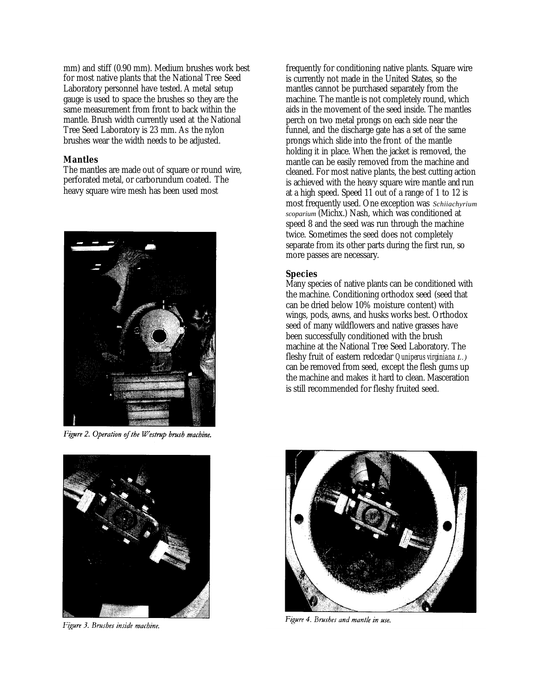mm) and stiff (0.90 mm). Medium brushes work best for most native plants that the National Tree Seed Laboratory personnel have tested. A metal setup gauge is used to space the brushes so they are the same measurement from front to back within the mantle. Brush width currently used at the National Tree Seed Laboratory is 23 mm. As the nylon brushes wear the width needs to be adjusted.

### **Mantles**

The mantles are made out of square or round wire, perforated metal, or carborundum coated. The heavy square wire mesh has been used most



Figure 2. Operation of the Westrup brush machine.



Figure 3. Brushes inside machine.

frequently for conditioning native plants. Square wire is currently not made in the United States, so the mantles cannot be purchased separately from the machine. The mantle is not completely round, which aids in the movement of the seed inside. The mantles perch on two metal prongs on each side near the funnel, and the discharge gate has a set of the same prongs which slide into the front of the mantle holding it in place. When the jacket is removed, the mantle can be easily removed from the machine and cleaned. For most native plants, the best cutting action is achieved with the heavy square wire mantle and run at a high speed. Speed 11 out of a range of 1 to 12 is most frequently used. One exception was *Schiiachyrium scoparium* (Michx.) Nash, which was conditioned at speed 8 and the seed was run through the machine twice. Sometimes the seed does not completely separate from its other parts during the first run, so more passes are necessary.

# **Species**

Many species of native plants can be conditioned with the machine. Conditioning orthodox seed (seed that can be dried below 10% moisture content) with wings, pods, awns, and husks works best. Orthodox seed of many wildflowers and native grasses have been successfully conditioned with the brush machine at the National Tree Seed Laboratory. The fleshy fruit of eastern redcedar *Quniperus virginiana L.)*  can be removed from seed, except the flesh gums up the machine and makes it hard to clean. Masceration is still recommended for fleshy fruited seed.



Figure 4. Brushes and mantle in use.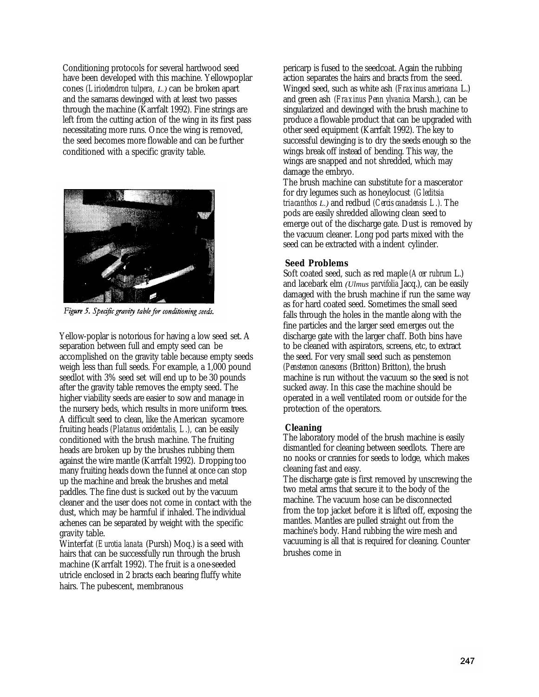Conditioning protocols for several hardwood seed have been developed with this machine. Yellowpoplar cones *(Liriodendron tulpera, L.)* can be broken apart and the samaras dewinged with at least two passes through the machine (Karrfalt 1992). Fine strings are left from the cutting action of the wing in its first pass necessitating more runs. Once the wing is removed, the seed becomes more flowable and can be further conditioned with a specific gravity table.



Figure 5. Specific gravity table for conditioning seeds.

Yellow-poplar is notorious for having a low seed set. A separation between full and empty seed can be accomplished on the gravity table because empty seeds weigh less than full seeds. For example, a 1,000 pound seedlot with 3% seed set will end up to be 30 pounds after the gravity table removes the empty seed. The higher viability seeds are easier to sow and manage in the nursery beds, which results in more uniform trees. A difficult seed to clean, like the American sycamore fruiting heads *(Platanus occidentalis, L.),* can be easily conditioned with the brush machine. The fruiting heads are broken up by the brushes rubbing them against the wire mantle (Karrfalt 1992). Dropping too many fruiting heads down the funnel at once can stop up the machine and break the brushes and metal paddles. The fine dust is sucked out by the vacuum cleaner and the user does not come in contact with the dust, which may be harmful if inhaled. The individual achenes can be separated by weight with the specific gravity table.

Winterfat *(Eurotia lanata* (Pursh) Moq.) is a seed with hairs that can be successfully run through the brush machine (Karrfalt 1992). The fruit is a one-seeded utricle enclosed in 2 bracts each bearing fluffy white hairs. The pubescent, membranous

pericarp is fused to the seedcoat. Again the rubbing action separates the hairs and bracts from the seed. Winged seed, such as white ash *(Fraxinus americana* L.) and green ash *(Fraxinus Penn ylvanica* Marsh.), can be singularized and dewinged with the brush machine to produce a flowable product that can be upgraded with other seed equipment (Karrfalt 1992). The key to successful dewinging is to dry the seeds enough so the wings break off instead of bending. This way, the wings are snapped and not shredded, which may damage the embryo.

The brush machine can substitute for a mascerator for dry legumes such as honeylocust *(Gleditsia triacanthos L.)* and redbud *(Cercis canadensis L.).* The pods are easily shredded allowing clean seed to emerge out of the discharge gate. Dust is removed by the vacuum cleaner. Long pod parts mixed with the seed can be extracted with a indent cylinder.

# **Seed Problems**

Soft coated seed, such as red maple *(Acer rubrum* L.) and lacebark elm *(Ulmus parvifolia* Jacq.), can be easily damaged with the brush machine if run the same way as for hard coated seed. Sometimes the small seed falls through the holes in the mantle along with the fine particles and the larger seed emerges out the discharge gate with the larger chaff. Both bins have to be cleaned with aspirators, screens, etc, to extract the seed. For very small seed such as penstemon *(Penstemon canescens* (Britton) Britton), the brush machine is run without the vacuum so the seed is not sucked away. In this case the machine should be operated in a well ventilated room or outside for the protection of the operators.

# **Cleaning**

The laboratory model of the brush machine is easily dismantled for cleaning between seedlots. There are no nooks or crannies for seeds to lodge, which makes cleaning fast and easy.

The discharge gate is first removed by unscrewing the two metal arms that secure it to the body of the machine. The vacuum hose can be disconnected from the top jacket before it is lifted off, exposing the mantles. Mantles are pulled straight out from the machine's body. Hand rubbing the wire mesh and vacuuming is all that is required for cleaning. Counter brushes come in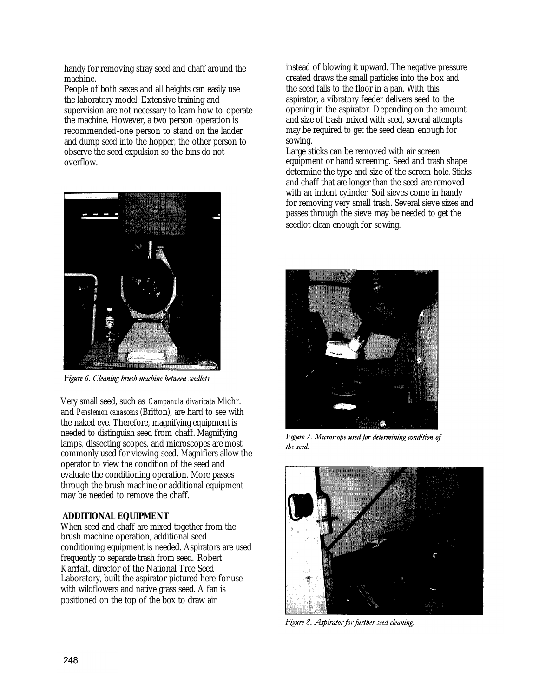handy for removing stray seed and chaff around the machine.

People of both sexes and all heights can easily use the laboratory model. Extensive training and supervision are not necessary to learn how to operate the machine. However, a two person operation is recommended-one person to stand on the ladder and dump seed into the hopper, the other person to observe the seed expulsion so the bins do not overflow.



Figure 6. Cleaning brush machine between seedlots

Very small seed, such as *Campanula divaricata* Michr. and *Penstemon canascens* (Britton), are hard to see with the naked eye. Therefore, magnifying equipment is needed to distinguish seed from chaff. Magnifying lamps, dissecting scopes, and microscopes are most commonly used for viewing seed. Magnifiers allow the operator to view the condition of the seed and evaluate the conditioning operation. More passes through the brush machine or additional equipment may be needed to remove the chaff.

# **ADDITIONAL EQUIPMENT**

When seed and chaff are mixed together from the brush machine operation, additional seed conditioning equipment is needed. Aspirators are used frequently to separate trash from seed. Robert Karrfalt, director of the National Tree Seed Laboratory, built the aspirator pictured here for use with wildflowers and native grass seed. A fan is positioned on the top of the box to draw air

instead of blowing it upward. The negative pressure created draws the small particles into the box and the seed falls to the floor in a pan. With this aspirator, a vibratory feeder delivers seed to the opening in the aspirator. Depending on the amount and size of trash mixed with seed, several attempts may be required to get the seed clean enough for sowing.

Large sticks can be removed with air screen equipment or hand screening. Seed and trash shape determine the type and size of the screen hole. Sticks and chaff that are longer than the seed are removed with an indent cylinder. Soil sieves come in handy for removing very small trash. Several sieve sizes and passes through the sieve may be needed to get the seedlot clean enough for sowing.



Figure 7. Microscope used for determining condition of the seed.



Figure 8. Aspirator for further seed cleaning.